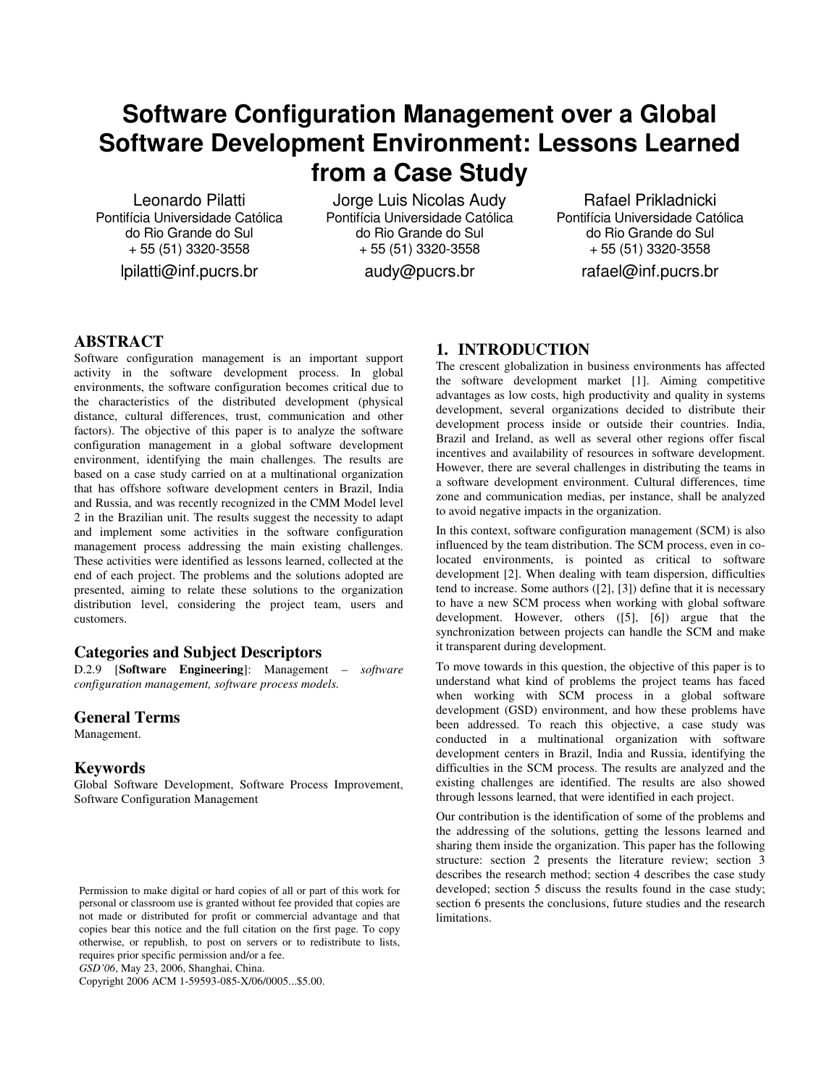# **Software Configuration Management over a Global Software Development Environment: Lessons Learned from a Case Study**

Leonardo Pilatti Pontifícia Universidade Católica do Rio Grande do Sul + 55 (51) 3320-3558

lpilatti@inf.pucrs.br

Jorge Luis Nicolas Audy Pontifícia Universidade Católica do Rio Grande do Sul + 55 (51) 3320-3558

audy@pucrs.br

Rafael Prikladnicki Pontifícia Universidade Católica do Rio Grande do Sul + 55 (51) 3320-3558

rafael@inf.pucrs.br

# **ABSTRACT**

Software configuration management is an important support activity in the software development process. In global environments, the software configuration becomes critical due to the characteristics of the distributed development (physical distance, cultural differences, trust, communication and other factors). The objective of this paper is to analyze the software configuration management in a global software development environment, identifying the main challenges. The results are based on a case study carried on at a multinational organization that has offshore software development centers in Brazil, India and Russia, and was recently recognized in the CMM Model level 2 in the Brazilian unit. The results suggest the necessity to adapt and implement some activities in the software configuration management process addressing the main existing challenges. These activities were identified as lessons learned, collected at the end of each project. The problems and the solutions adopted are presented, aiming to relate these solutions to the organization distribution level, considering the project team, users and customers.

# **Categories and Subject Descriptors**

D.2.9 [**Software Engineering**]: Management – *software configuration management, software process models.*

# **General Terms**

Management.

# **Keywords**

Global Software Development, Software Process Improvement, Software Configuration Management

*GSD'06*, May 23, 2006, Shanghai, China.

Copyright 2006 ACM 1-59593-085-X/06/0005...\$5.00.

# **1. INTRODUCTION**

The crescent globalization in business environments has affected the software development market [1]. Aiming competitive advantages as low costs, high productivity and quality in systems development, several organizations decided to distribute their development process inside or outside their countries. India, Brazil and Ireland, as well as several other regions offer fiscal incentives and availability of resources in software development. However, there are several challenges in distributing the teams in a software development environment. Cultural differences, time zone and communication medias, per instance, shall be analyzed to avoid negative impacts in the organization.

In this context, software configuration management (SCM) is also influenced by the team distribution. The SCM process, even in colocated environments, is pointed as critical to software development [2]. When dealing with team dispersion, difficulties tend to increase. Some authors ([2], [3]) define that it is necessary to have a new SCM process when working with global software development. However, others ([5], [6]) argue that the synchronization between projects can handle the SCM and make it transparent during development.

To move towards in this question, the objective of this paper is to understand what kind of problems the project teams has faced when working with SCM process in a global software development (GSD) environment, and how these problems have been addressed. To reach this objective, a case study was conducted in a multinational organization with software development centers in Brazil, India and Russia, identifying the difficulties in the SCM process. The results are analyzed and the existing challenges are identified. The results are also showed through lessons learned, that were identified in each project.

Our contribution is the identification of some of the problems and the addressing of the solutions, getting the lessons learned and sharing them inside the organization. This paper has the following structure: section 2 presents the literature review; section 3 describes the research method; section 4 describes the case study developed; section 5 discuss the results found in the case study; section 6 presents the conclusions, future studies and the research limitations.

Permission to make digital or hard copies of all or part of this work for personal or classroom use is granted without fee provided that copies are not made or distributed for profit or commercial advantage and that copies bear this notice and the full citation on the first page. To copy otherwise, or republish, to post on servers or to redistribute to lists, requires prior specific permission and/or a fee.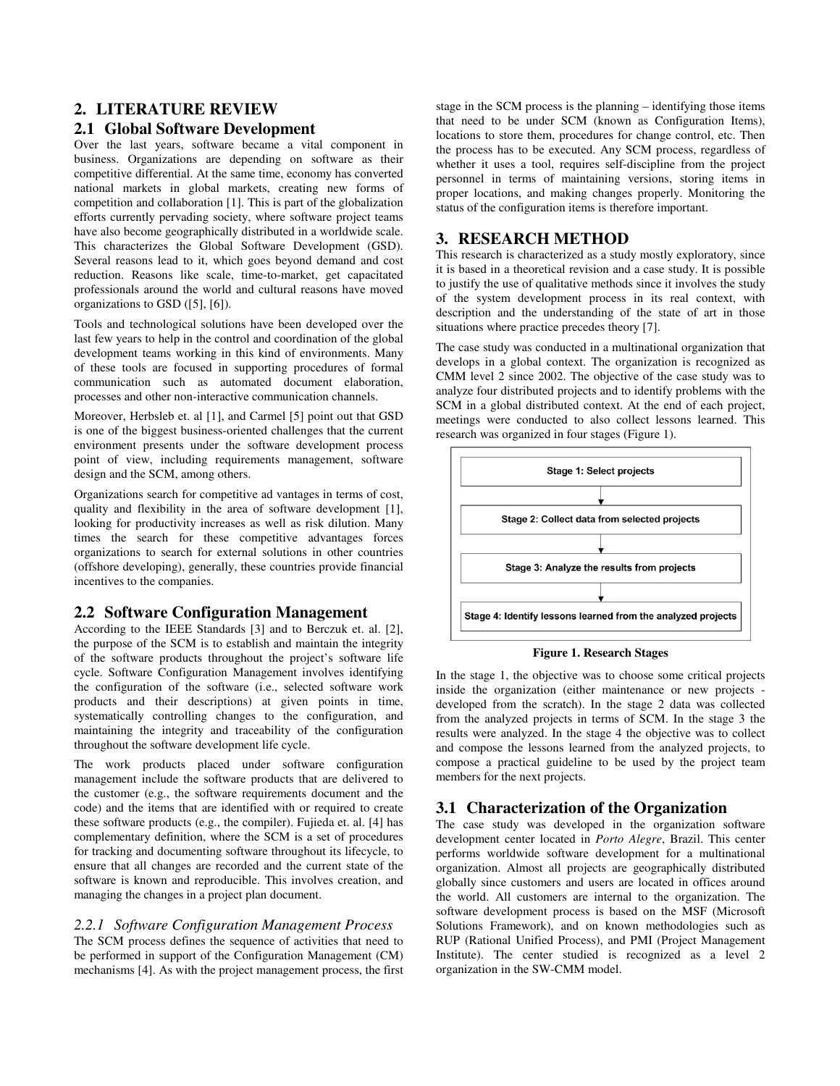# **2. LITERATURE REVIEW**

# **2.1 Global Software Development**

Over the last years, software became a vital component in business. Organizations are depending on software as their competitive differential. At the same time, economy has converted national markets in global markets, creating new forms of competition and collaboration [1]. This is part of the globalization efforts currently pervading society, where software project teams have also become geographically distributed in a worldwide scale. This characterizes the Global Software Development (GSD). Several reasons lead to it, which goes beyond demand and cost reduction. Reasons like scale, time-to-market, get capacitated professionals around the world and cultural reasons have moved organizations to GSD ([5], [6]).

Tools and technological solutions have been developed over the last few years to help in the control and coordination of the global development teams working in this kind of environments. Many of these tools are focused in supporting procedures of formal communication such as automated document elaboration, processes and other non-interactive communication channels.

Moreover, Herbsleb et. al [1], and Carmel [5] point out that GSD is one of the biggest business-oriented challenges that the current environment presents under the software development process point of view, including requirements management, software design and the SCM, among others.

Organizations search for competitive ad vantages in terms of cost, quality and flexibility in the area of software development [1], looking for productivity increases as well as risk dilution. Many times the search for these competitive advantages forces organizations to search for external solutions in other countries (offshore developing), generally, these countries provide financial incentives to the companies.

# **2.2 Software Configuration Management**

According to the IEEE Standards [3] and to Berczuk et. al. [2], the purpose of the SCM is to establish and maintain the integrity of the software products throughout the project's software life cycle. Software Configuration Management involves identifying the configuration of the software (i.e., selected software work products and their descriptions) at given points in time, systematically controlling changes to the configuration, and maintaining the integrity and traceability of the configuration throughout the software development life cycle.

The work products placed under software configuration management include the software products that are delivered to the customer (e.g., the software requirements document and the code) and the items that are identified with or required to create these software products (e.g., the compiler). Fujieda et. al. [4] has complementary definition, where the SCM is a set of procedures for tracking and documenting software throughout its lifecycle, to ensure that all changes are recorded and the current state of the software is known and reproducible. This involves creation, and managing the changes in a project plan document.

# *2.2.1 Software Configuration Management Process*

The SCM process defines the sequence of activities that need to be performed in support of the Configuration Management (CM) mechanisms [4]. As with the project management process, the first

stage in the SCM process is the planning – identifying those items that need to be under SCM (known as Configuration Items), locations to store them, procedures for change control, etc. Then the process has to be executed. Any SCM process, regardless of whether it uses a tool, requires self-discipline from the project personnel in terms of maintaining versions, storing items in proper locations, and making changes properly. Monitoring the status of the configuration items is therefore important.

# **3. RESEARCH METHOD**

This research is characterized as a study mostly exploratory, since it is based in a theoretical revision and a case study. It is possible to justify the use of qualitative methods since it involves the study of the system development process in its real context, with description and the understanding of the state of art in those situations where practice precedes theory [7].

The case study was conducted in a multinational organization that develops in a global context. The organization is recognized as CMM level 2 since 2002. The objective of the case study was to analyze four distributed projects and to identify problems with the SCM in a global distributed context. At the end of each project, meetings were conducted to also collect lessons learned. This research was organized in four stages (Figure 1).



#### **Figure 1. Research Stages**

In the stage 1, the objective was to choose some critical projects inside the organization (either maintenance or new projects developed from the scratch). In the stage 2 data was collected from the analyzed projects in terms of SCM. In the stage 3 the results were analyzed. In the stage 4 the objective was to collect and compose the lessons learned from the analyzed projects, to compose a practical guideline to be used by the project team members for the next projects.

# **3.1 Characterization of the Organization**

The case study was developed in the organization software development center located in *Porto Alegre*, Brazil. This center performs worldwide software development for a multinational organization. Almost all projects are geographically distributed globally since customers and users are located in offices around the world. All customers are internal to the organization. The software development process is based on the MSF (Microsoft Solutions Framework), and on known methodologies such as RUP (Rational Unified Process), and PMI (Project Management Institute). The center studied is recognized as a level 2 organization in the SW-CMM model.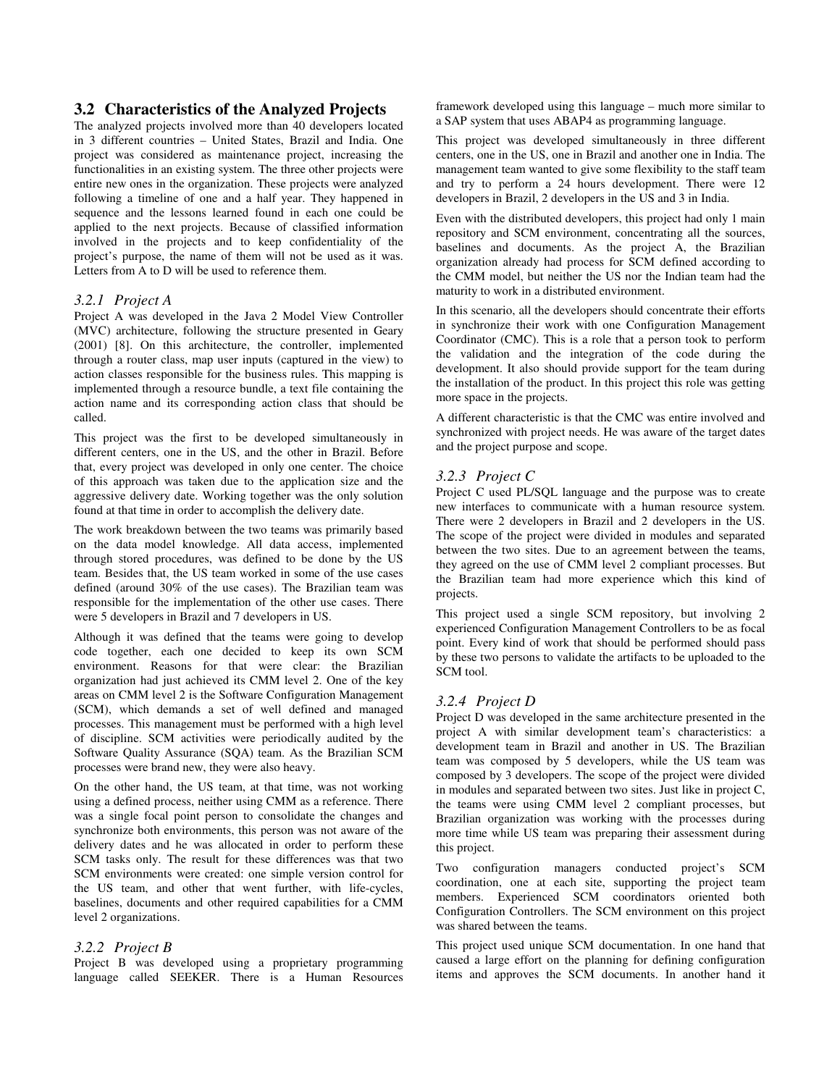## **3.2 Characteristics of the Analyzed Projects**

The analyzed projects involved more than 40 developers located in 3 different countries – United States, Brazil and India. One project was considered as maintenance project, increasing the functionalities in an existing system. The three other projects were entire new ones in the organization. These projects were analyzed following a timeline of one and a half year. They happened in sequence and the lessons learned found in each one could be applied to the next projects. Because of classified information involved in the projects and to keep confidentiality of the project's purpose, the name of them will not be used as it was. Letters from A to D will be used to reference them.

#### *3.2.1 Project A*

Project A was developed in the Java 2 Model View Controller (MVC) architecture, following the structure presented in Geary (2001) [8]. On this architecture, the controller, implemented through a router class, map user inputs (captured in the view) to action classes responsible for the business rules. This mapping is implemented through a resource bundle, a text file containing the action name and its corresponding action class that should be called.

This project was the first to be developed simultaneously in different centers, one in the US, and the other in Brazil. Before that, every project was developed in only one center. The choice of this approach was taken due to the application size and the aggressive delivery date. Working together was the only solution found at that time in order to accomplish the delivery date.

The work breakdown between the two teams was primarily based on the data model knowledge. All data access, implemented through stored procedures, was defined to be done by the US team. Besides that, the US team worked in some of the use cases defined (around 30% of the use cases). The Brazilian team was responsible for the implementation of the other use cases. There were 5 developers in Brazil and 7 developers in US.

Although it was defined that the teams were going to develop code together, each one decided to keep its own SCM environment. Reasons for that were clear: the Brazilian organization had just achieved its CMM level 2. One of the key areas on CMM level 2 is the Software Configuration Management (SCM), which demands a set of well defined and managed processes. This management must be performed with a high level of discipline. SCM activities were periodically audited by the Software Quality Assurance (SQA) team. As the Brazilian SCM processes were brand new, they were also heavy.

On the other hand, the US team, at that time, was not working using a defined process, neither using CMM as a reference. There was a single focal point person to consolidate the changes and synchronize both environments, this person was not aware of the delivery dates and he was allocated in order to perform these SCM tasks only. The result for these differences was that two SCM environments were created: one simple version control for the US team, and other that went further, with life-cycles, baselines, documents and other required capabilities for a CMM level 2 organizations.

#### *3.2.2 Project B*

Project B was developed using a proprietary programming language called SEEKER. There is a Human Resources framework developed using this language – much more similar to a SAP system that uses ABAP4 as programming language.

This project was developed simultaneously in three different centers, one in the US, one in Brazil and another one in India. The management team wanted to give some flexibility to the staff team and try to perform a 24 hours development. There were 12 developers in Brazil, 2 developers in the US and 3 in India.

Even with the distributed developers, this project had only 1 main repository and SCM environment, concentrating all the sources, baselines and documents. As the project A, the Brazilian organization already had process for SCM defined according to the CMM model, but neither the US nor the Indian team had the maturity to work in a distributed environment.

In this scenario, all the developers should concentrate their efforts in synchronize their work with one Configuration Management Coordinator (CMC). This is a role that a person took to perform the validation and the integration of the code during the development. It also should provide support for the team during the installation of the product. In this project this role was getting more space in the projects.

A different characteristic is that the CMC was entire involved and synchronized with project needs. He was aware of the target dates and the project purpose and scope.

#### *3.2.3 Project C*

Project C used PL/SQL language and the purpose was to create new interfaces to communicate with a human resource system. There were 2 developers in Brazil and 2 developers in the US. The scope of the project were divided in modules and separated between the two sites. Due to an agreement between the teams, they agreed on the use of CMM level 2 compliant processes. But the Brazilian team had more experience which this kind of projects.

This project used a single SCM repository, but involving 2 experienced Configuration Management Controllers to be as focal point. Every kind of work that should be performed should pass by these two persons to validate the artifacts to be uploaded to the SCM tool.

#### *3.2.4 Project D*

Project D was developed in the same architecture presented in the project A with similar development team's characteristics: a development team in Brazil and another in US. The Brazilian team was composed by 5 developers, while the US team was composed by 3 developers. The scope of the project were divided in modules and separated between two sites. Just like in project C, the teams were using CMM level 2 compliant processes, but Brazilian organization was working with the processes during more time while US team was preparing their assessment during this project.

Two configuration managers conducted project's SCM coordination, one at each site, supporting the project team members. Experienced SCM coordinators oriented both Configuration Controllers. The SCM environment on this project was shared between the teams.

This project used unique SCM documentation. In one hand that caused a large effort on the planning for defining configuration items and approves the SCM documents. In another hand it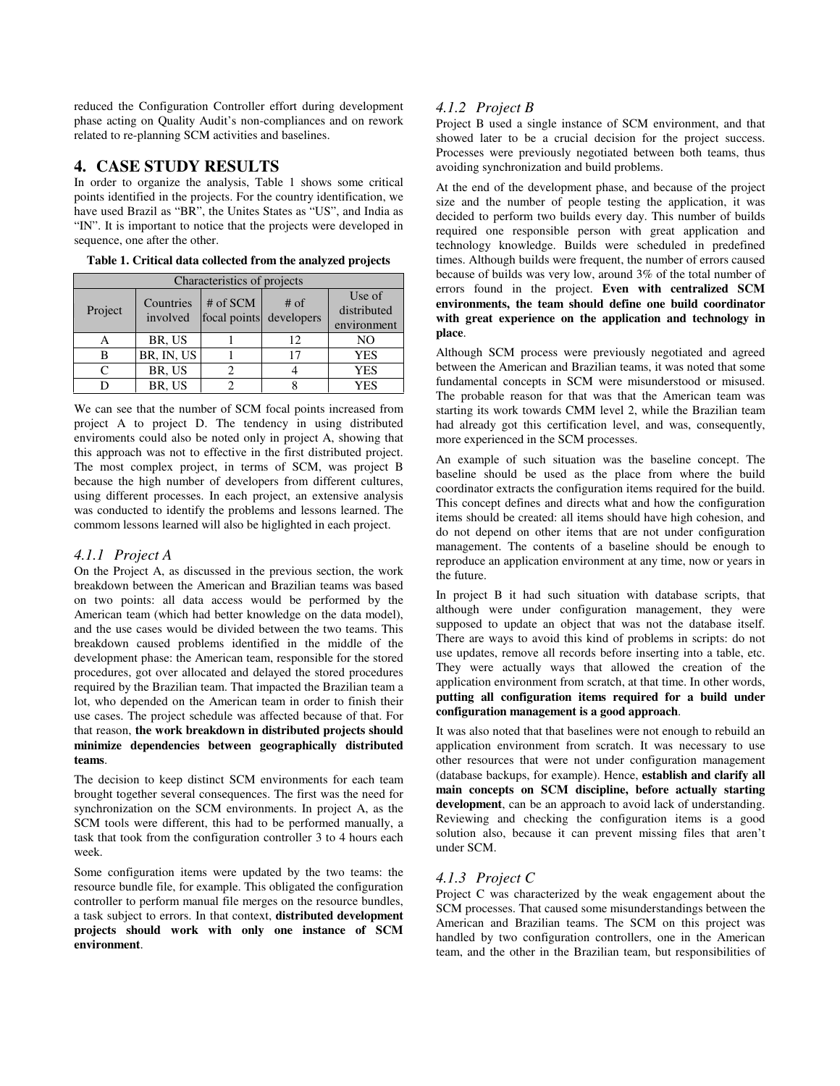reduced the Configuration Controller effort during development phase acting on Quality Audit's non-compliances and on rework related to re-planning SCM activities and baselines.

# **4. CASE STUDY RESULTS**

In order to organize the analysis, Table 1 shows some critical points identified in the projects. For the country identification, we have used Brazil as "BR", the Unites States as "US", and India as "IN". It is important to notice that the projects were developed in sequence, one after the other.

| Characteristics of projects |                       |                                     |        |                                      |  |  |
|-----------------------------|-----------------------|-------------------------------------|--------|--------------------------------------|--|--|
| Project                     | Countries<br>involved | # of SCM<br>focal points developers | $#$ of | Use of<br>distributed<br>environment |  |  |
|                             | BR, US                |                                     | 12     | N <sub>O</sub>                       |  |  |
| B                           | BR, IN, US            |                                     | 17     | <b>YES</b>                           |  |  |
|                             | BR, US                |                                     |        | <b>YES</b>                           |  |  |
|                             | BR, US                |                                     |        | YES                                  |  |  |

**Table 1. Critical data collected from the analyzed projects**

We can see that the number of SCM focal points increased from project A to project D. The tendency in using distributed enviroments could also be noted only in project A, showing that this approach was not to effective in the first distributed project. The most complex project, in terms of SCM, was project B because the high number of developers from different cultures, using different processes. In each project, an extensive analysis was conducted to identify the problems and lessons learned. The commom lessons learned will also be higlighted in each project.

#### *4.1.1 Project A*

On the Project A, as discussed in the previous section, the work breakdown between the American and Brazilian teams was based on two points: all data access would be performed by the American team (which had better knowledge on the data model), and the use cases would be divided between the two teams. This breakdown caused problems identified in the middle of the development phase: the American team, responsible for the stored procedures, got over allocated and delayed the stored procedures required by the Brazilian team. That impacted the Brazilian team a lot, who depended on the American team in order to finish their use cases. The project schedule was affected because of that. For that reason, **the work breakdown in distributed projects should minimize dependencies between geographically distributed teams**.

The decision to keep distinct SCM environments for each team brought together several consequences. The first was the need for synchronization on the SCM environments. In project A, as the SCM tools were different, this had to be performed manually, a task that took from the configuration controller 3 to 4 hours each week.

Some configuration items were updated by the two teams: the resource bundle file, for example. This obligated the configuration controller to perform manual file merges on the resource bundles, a task subject to errors. In that context, **distributed development projects should work with only one instance of SCM environment**.

# *4.1.2 Project B*

Project B used a single instance of SCM environment, and that showed later to be a crucial decision for the project success. Processes were previously negotiated between both teams, thus avoiding synchronization and build problems.

At the end of the development phase, and because of the project size and the number of people testing the application, it was decided to perform two builds every day. This number of builds required one responsible person with great application and technology knowledge. Builds were scheduled in predefined times. Although builds were frequent, the number of errors caused because of builds was very low, around 3% of the total number of errors found in the project. **Even with centralized SCM environments, the team should define one build coordinator with great experience on the application and technology in place**.

Although SCM process were previously negotiated and agreed between the American and Brazilian teams, it was noted that some fundamental concepts in SCM were misunderstood or misused. The probable reason for that was that the American team was starting its work towards CMM level 2, while the Brazilian team had already got this certification level, and was, consequently, more experienced in the SCM processes.

An example of such situation was the baseline concept. The baseline should be used as the place from where the build coordinator extracts the configuration items required for the build. This concept defines and directs what and how the configuration items should be created: all items should have high cohesion, and do not depend on other items that are not under configuration management. The contents of a baseline should be enough to reproduce an application environment at any time, now or years in the future.

In project B it had such situation with database scripts, that although were under configuration management, they were supposed to update an object that was not the database itself. There are ways to avoid this kind of problems in scripts: do not use updates, remove all records before inserting into a table, etc. They were actually ways that allowed the creation of the application environment from scratch, at that time. In other words, **putting all configuration items required for a build under configuration management is a good approach**.

It was also noted that that baselines were not enough to rebuild an application environment from scratch. It was necessary to use other resources that were not under configuration management (database backups, for example). Hence, **establish and clarify all main concepts on SCM discipline, before actually starting development**, can be an approach to avoid lack of understanding. Reviewing and checking the configuration items is a good solution also, because it can prevent missing files that aren't under SCM.

## *4.1.3 Project C*

Project C was characterized by the weak engagement about the SCM processes. That caused some misunderstandings between the American and Brazilian teams. The SCM on this project was handled by two configuration controllers, one in the American team, and the other in the Brazilian team, but responsibilities of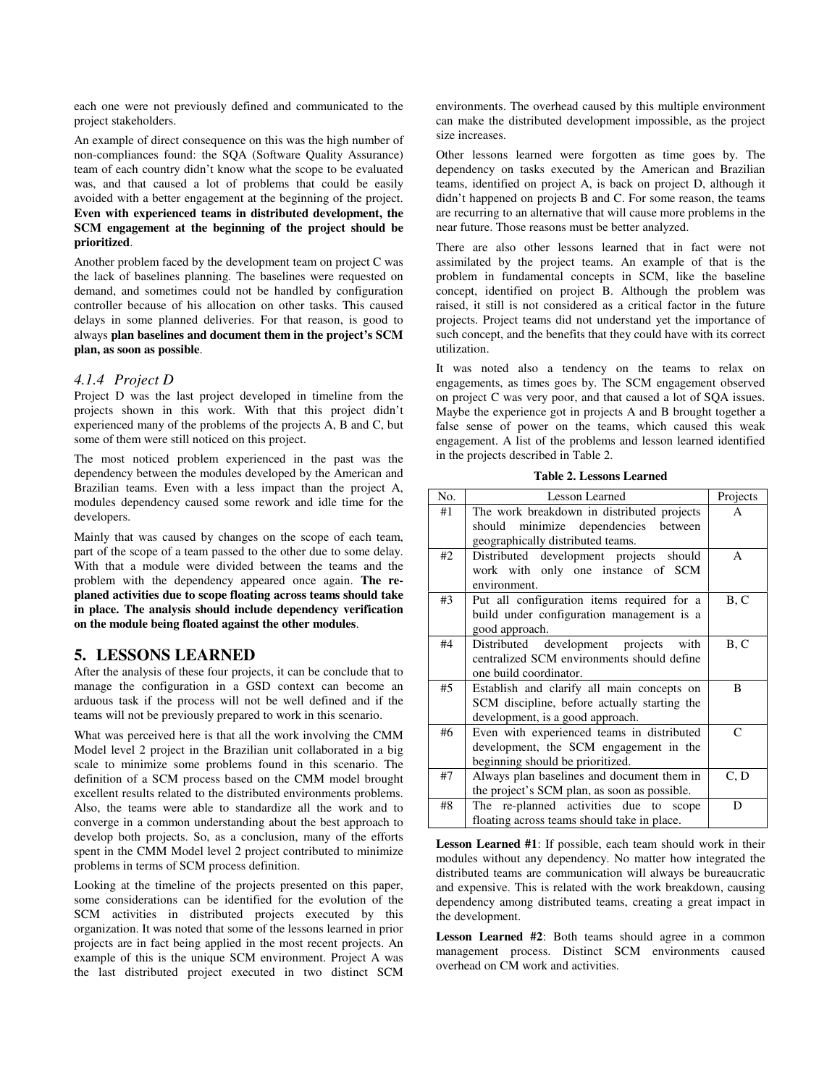each one were not previously defined and communicated to the project stakeholders.

An example of direct consequence on this was the high number of non-compliances found: the SQA (Software Quality Assurance) team of each country didn't know what the scope to be evaluated was, and that caused a lot of problems that could be easily avoided with a better engagement at the beginning of the project. **Even with experienced teams in distributed development, the SCM engagement at the beginning of the project should be prioritized**.

Another problem faced by the development team on project C was the lack of baselines planning. The baselines were requested on demand, and sometimes could not be handled by configuration controller because of his allocation on other tasks. This caused delays in some planned deliveries. For that reason, is good to always **plan baselines and document them in the project's SCM plan, as soon as possible**.

#### *4.1.4 Project D*

Project D was the last project developed in timeline from the projects shown in this work. With that this project didn't experienced many of the problems of the projects A, B and C, but some of them were still noticed on this project.

The most noticed problem experienced in the past was the dependency between the modules developed by the American and Brazilian teams. Even with a less impact than the project A, modules dependency caused some rework and idle time for the developers.

Mainly that was caused by changes on the scope of each team, part of the scope of a team passed to the other due to some delay. With that a module were divided between the teams and the problem with the dependency appeared once again. **The replaned activities due to scope floating across teams should take in place. The analysis should include dependency verification on the module being floated against the other modules**.

#### **5. LESSONS LEARNED**

After the analysis of these four projects, it can be conclude that to manage the configuration in a GSD context can become an arduous task if the process will not be well defined and if the teams will not be previously prepared to work in this scenario.

What was perceived here is that all the work involving the CMM Model level 2 project in the Brazilian unit collaborated in a big scale to minimize some problems found in this scenario. The definition of a SCM process based on the CMM model brought excellent results related to the distributed environments problems. Also, the teams were able to standardize all the work and to converge in a common understanding about the best approach to develop both projects. So, as a conclusion, many of the efforts spent in the CMM Model level 2 project contributed to minimize problems in terms of SCM process definition.

Looking at the timeline of the projects presented on this paper, some considerations can be identified for the evolution of the SCM activities in distributed projects executed by this organization. It was noted that some of the lessons learned in prior projects are in fact being applied in the most recent projects. An example of this is the unique SCM environment. Project A was the last distributed project executed in two distinct SCM

environments. The overhead caused by this multiple environment can make the distributed development impossible, as the project size increases.

Other lessons learned were forgotten as time goes by. The dependency on tasks executed by the American and Brazilian teams, identified on project A, is back on project D, although it didn't happened on projects B and C. For some reason, the teams are recurring to an alternative that will cause more problems in the near future. Those reasons must be better analyzed.

There are also other lessons learned that in fact were not assimilated by the project teams. An example of that is the problem in fundamental concepts in SCM, like the baseline concept, identified on project B. Although the problem was raised, it still is not considered as a critical factor in the future projects. Project teams did not understand yet the importance of such concept, and the benefits that they could have with its correct utilization.

It was noted also a tendency on the teams to relax on engagements, as times goes by. The SCM engagement observed on project C was very poor, and that caused a lot of SQA issues. Maybe the experience got in projects A and B brought together a false sense of power on the teams, which caused this weak engagement. A list of the problems and lesson learned identified in the projects described in Table 2.

| <b>Table 2. Lessons Learned</b> |
|---------------------------------|
|                                 |

| No. | Lesson Learned                                                                                                                 | Projects     |
|-----|--------------------------------------------------------------------------------------------------------------------------------|--------------|
| #1  | The work breakdown in distributed projects                                                                                     | A            |
|     | should minimize dependencies between<br>geographically distributed teams.                                                      |              |
| #2  | Distributed development projects should<br>work with only one instance of SCM<br>environment.                                  | $\mathsf{A}$ |
| #3  | Put all configuration items required for a<br>build under configuration management is a<br>good approach.                      | B, C         |
| #4  | Distributed development projects with<br>centralized SCM environments should define<br>one build coordinator.                  | B, C         |
| #5  | Establish and clarify all main concepts on<br>SCM discipline, before actually starting the<br>development, is a good approach. | B            |
| #6  | Even with experienced teams in distributed<br>development, the SCM engagement in the<br>beginning should be prioritized.       | $\mathsf{C}$ |
| #7  | Always plan baselines and document them in<br>the project's SCM plan, as soon as possible.                                     | C, D         |
| #8  | The re-planned activities due to scope<br>floating across teams should take in place.                                          | D            |

**Lesson Learned #1**: If possible, each team should work in their modules without any dependency. No matter how integrated the distributed teams are communication will always be bureaucratic and expensive. This is related with the work breakdown, causing dependency among distributed teams, creating a great impact in the development.

**Lesson Learned #2**: Both teams should agree in a common management process. Distinct SCM environments caused overhead on CM work and activities.